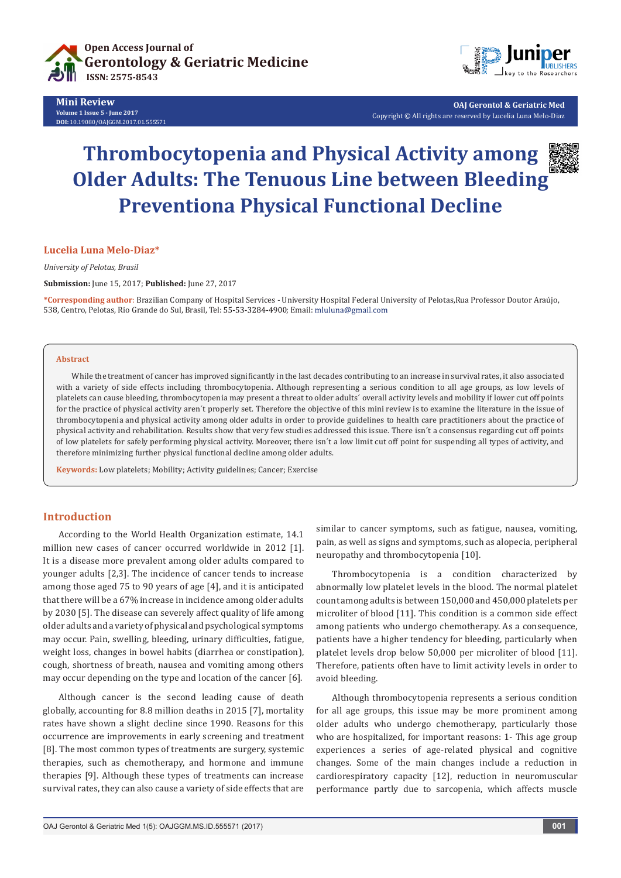

**Mini Review Volume 1 Issue 5 - June 2017 DOI:** [10.19080/OAJGGM.2017.01.555571](http://dx.doi.org/10.19080/OAJGGM.2017.01.555571
)



**OAJ Gerontol & Geriatric Med** Copyright © All rights are reserved by Lucelia Luna Melo-Diaz

# **Thrombocytopenia and Physical Activity among Older Adults: The Tenuous Line between Bleeding Preventiona Physical Functional Decline**

# **Lucelia Luna Melo-Diaz\***

*University of Pelotas, Brasil*

**Submission:** June 15, 2017; **Published:** June 27, 2017

**\*Corresponding author**: Brazilian Company of Hospital Services - University Hospital Federal University of Pelotas,Rua Professor Doutor Araújo, 538, Centro, Pelotas, Rio Grande do Sul, Brasil, Tel: 55-53-3284-4900; Email: mluluna@gmail.com

#### **Abstract**

While the treatment of cancer has improved significantly in the last decades contributing to an increase in survival rates, it also associated with a variety of side effects including thrombocytopenia. Although representing a serious condition to all age groups, as low levels of platelets can cause bleeding, thrombocytopenia may present a threat to older adults´ overall activity levels and mobility if lower cut off points for the practice of physical activity aren´t properly set. Therefore the objective of this mini review is to examine the literature in the issue of thrombocytopenia and physical activity among older adults in order to provide guidelines to health care practitioners about the practice of physical activity and rehabilitation. Results show that very few studies addressed this issue. There isn´t a consensus regarding cut off points of low platelets for safely performing physical activity. Moreover, there isn´t a low limit cut off point for suspending all types of activity, and therefore minimizing further physical functional decline among older adults.

**Keywords:** Low platelets; Mobility; Activity guidelines; Cancer; Exercise

# **Introduction**

According to the World Health Organization estimate, 14.1 million new cases of cancer occurred worldwide in 2012 [1]. It is a disease more prevalent among older adults compared to younger adults [2,3]. The incidence of cancer tends to increase among those aged 75 to 90 years of age [4], and it is anticipated that there will be a 67% increase in incidence among older adults by 2030 [5]. The disease can severely affect quality of life among older adults and a variety of physical and psychological symptoms may occur. Pain, swelling, bleeding, urinary difficulties, fatigue, weight loss, changes in bowel habits (diarrhea or constipation), cough, shortness of breath, nausea and vomiting among others may occur depending on the type and location of the cancer [6].

Although cancer is the second leading cause of death globally, accounting for 8.8 million deaths in 2015 [7], mortality rates have shown a slight decline since 1990. Reasons for this occurrence are improvements in early screening and treatment [8]. The most common types of treatments are surgery, systemic therapies, such as chemotherapy, and hormone and immune therapies [9]. Although these types of treatments can increase survival rates, they can also cause a variety of side effects that are similar to cancer symptoms, such as fatigue, nausea, vomiting, pain, as well as signs and symptoms, such as alopecia, peripheral neuropathy and thrombocytopenia [10].

Thrombocytopenia is a condition characterized by abnormally low platelet levels in the blood. The normal platelet count among adults is between 150,000 and 450,000 platelets per microliter of blood [11]. This condition is a common side effect among patients who undergo chemotherapy. As a consequence, patients have a higher tendency for bleeding, particularly when platelet levels drop below 50,000 per microliter of blood [11]. Therefore, patients often have to limit activity levels in order to avoid bleeding.

Although thrombocytopenia represents a serious condition for all age groups, this issue may be more prominent among older adults who undergo chemotherapy, particularly those who are hospitalized, for important reasons: 1- This age group experiences a series of age-related physical and cognitive changes. Some of the main changes include a reduction in cardiorespiratory capacity [12], reduction in neuromuscular performance partly due to sarcopenia, which affects muscle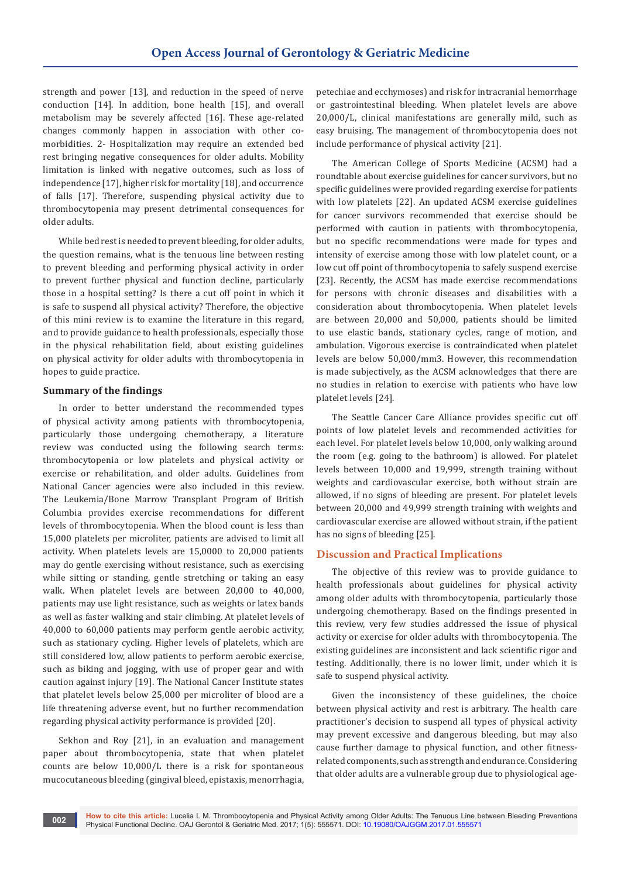strength and power [13], and reduction in the speed of nerve conduction [14]. In addition, bone health [15], and overall metabolism may be severely affected [16]. These age-related changes commonly happen in association with other comorbidities. 2- Hospitalization may require an extended bed rest bringing negative consequences for older adults. Mobility limitation is linked with negative outcomes, such as loss of independence [17], higher risk for mortality [18], and occurrence of falls [17]. Therefore, suspending physical activity due to thrombocytopenia may present detrimental consequences for older adults.

While bed rest is needed to prevent bleeding, for older adults, the question remains, what is the tenuous line between resting to prevent bleeding and performing physical activity in order to prevent further physical and function decline, particularly those in a hospital setting? Is there a cut off point in which it is safe to suspend all physical activity? Therefore, the objective of this mini review is to examine the literature in this regard, and to provide guidance to health professionals, especially those in the physical rehabilitation field, about existing guidelines on physical activity for older adults with thrombocytopenia in hopes to guide practice.

# **Summary of the findings**

In order to better understand the recommended types of physical activity among patients with thrombocytopenia, particularly those undergoing chemotherapy, a literature review was conducted using the following search terms: thrombocytopenia or low platelets and physical activity or exercise or rehabilitation, and older adults. Guidelines from National Cancer agencies were also included in this review. The Leukemia/Bone Marrow Transplant Program of British Columbia provides exercise recommendations for different levels of thrombocytopenia. When the blood count is less than 15,000 platelets per microliter, patients are advised to limit all activity. When platelets levels are 15,0000 to 20,000 patients may do gentle exercising without resistance, such as exercising while sitting or standing, gentle stretching or taking an easy walk. When platelet levels are between 20,000 to 40,000, patients may use light resistance, such as weights or latex bands as well as faster walking and stair climbing. At platelet levels of 40,000 to 60,000 patients may perform gentle aerobic activity, such as stationary cycling. Higher levels of platelets, which are still considered low, allow patients to perform aerobic exercise, such as biking and jogging, with use of proper gear and with caution against injury [19]. The National Cancer Institute states that platelet levels below 25,000 per microliter of blood are a life threatening adverse event, but no further recommendation regarding physical activity performance is provided [20].

Sekhon and Roy [21], in an evaluation and management paper about thrombocytopenia, state that when platelet counts are below 10,000/L there is a risk for spontaneous mucocutaneous bleeding (gingival bleed, epistaxis, menorrhagia,

petechiae and ecchymoses) and risk for intracranial hemorrhage or gastrointestinal bleeding. When platelet levels are above 20,000/L, clinical manifestations are generally mild, such as easy bruising. The management of thrombocytopenia does not include performance of physical activity [21].

The American College of Sports Medicine (ACSM) had a roundtable about exercise guidelines for cancer survivors, but no specific guidelines were provided regarding exercise for patients with low platelets [22]. An updated ACSM exercise guidelines for cancer survivors recommended that exercise should be performed with caution in patients with thrombocytopenia, but no specific recommendations were made for types and intensity of exercise among those with low platelet count, or a low cut off point of thrombocytopenia to safely suspend exercise [23]. Recently, the ACSM has made exercise recommendations for persons with chronic diseases and disabilities with a consideration about thrombocytopenia. When platelet levels are between 20,000 and 50,000, patients should be limited to use elastic bands, stationary cycles, range of motion, and ambulation. Vigorous exercise is contraindicated when platelet levels are below 50,000/mm3. However, this recommendation is made subjectively, as the ACSM acknowledges that there are no studies in relation to exercise with patients who have low platelet levels [24].

The Seattle Cancer Care Alliance provides specific cut off points of low platelet levels and recommended activities for each level. For platelet levels below 10,000, only walking around the room (e.g. going to the bathroom) is allowed. For platelet levels between 10,000 and 19,999, strength training without weights and cardiovascular exercise, both without strain are allowed, if no signs of bleeding are present. For platelet levels between 20,000 and 49,999 strength training with weights and cardiovascular exercise are allowed without strain, if the patient has no signs of bleeding [25].

# **Discussion and Practical Implications**

The objective of this review was to provide guidance to health professionals about guidelines for physical activity among older adults with thrombocytopenia, particularly those undergoing chemotherapy. Based on the findings presented in this review, very few studies addressed the issue of physical activity or exercise for older adults with thrombocytopenia. The existing guidelines are inconsistent and lack scientific rigor and testing. Additionally, there is no lower limit, under which it is safe to suspend physical activity.

Given the inconsistency of these guidelines, the choice between physical activity and rest is arbitrary. The health care practitioner's decision to suspend all types of physical activity may prevent excessive and dangerous bleeding, but may also cause further damage to physical function, and other fitnessrelated components, such as strength and endurance. Considering that older adults are a vulnerable group due to physiological age